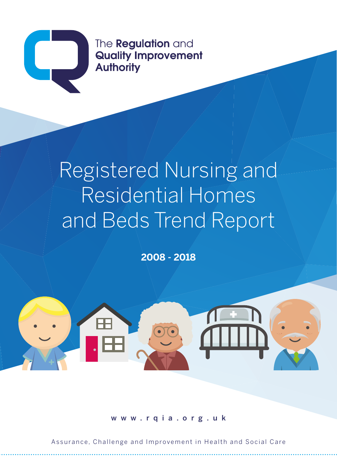

The **Regulation** and **Quality Improvement Authority** 

# Registered Nursing and Residential Homes and Beds Trend Report

**2008 - 2018**



www.rqia.org.uk

Assurance, Challenge and Improvement in Health and Social Care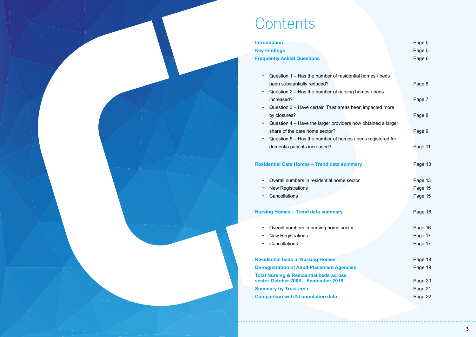# **Contents**

### **Introduction Key Findings Frequently Asked Questions**

- Question  $1 -$  Has the number of residential h been substantially reduced?
- Question  $2 -$  Has the number of nursing hom increased?
- Question  $3$  Have certain Trust areas been by closures?
- Question  $4$  Have the larger providers now share of the care home sector?
- Question  $5 -$  Has the number of homes / bed dementia patients increased?

**3**

### **Residential Care Homes - Trend data summary**

- Overall numbers in residential home sector
- New Registrations
- Cancellations

### **Nursing Homes – Trend data summary**

- Overall numbers in nursing home sector
- New Registrations
- Cancellations

**Residential beds in Nursing Homes De-registration of Adult Placement Agencies Total Nursing & Residential beds across** sector October 2008 – September 2018 **Summary by Trust area Comparison with NI population data** 

|                                                                                       | Page 5<br>Page 5<br>Page 6                          |
|---------------------------------------------------------------------------------------|-----------------------------------------------------|
| nomes / beds<br>nes / beds<br>impacted more<br>obtained a larger<br>ds registered for | Page 6<br>Page 7<br>Page 8<br>Page 9<br>Page 11     |
|                                                                                       | Page 13<br>Page 13<br>Page 15<br>Page 15            |
|                                                                                       | Page 16<br>Page 16<br>Page 17<br>Page 17            |
|                                                                                       | Page 18<br>Page 19<br>Page 20<br>Page 21<br>Page 22 |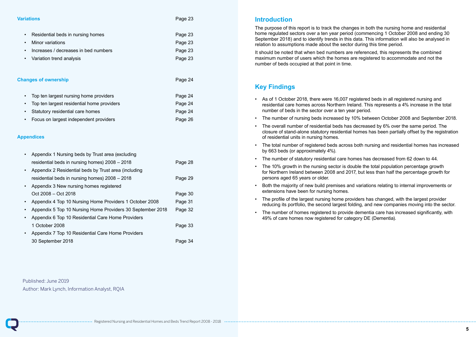Registered Nursing and Residential Homes and Beds Trend Report 2008 - 2018

#### **Variations** Page 23

- Residential beds in nursing homes **Page 23** Page 23 **Minor variations Page 23** Increases / decreases in bed numbers **Page 23**
- **Variation trend analysis Page 23**

### **Changes of ownership 24 and 24 and 24 and 24 and 24 and 25 and 26 and 26 and 26 and 26 and 26 and 26 and 26 and 26 and 26 and 26 and 26 and 26 and 26 and 26 and 26 and 26 and 27 and 27 and 27 and 27 and 27 and 27 and 27 a**

| • Top ten largest nursing home providers     | Page 24 |
|----------------------------------------------|---------|
| • Top ten largest residential home providers | Page 24 |
| • Statutory residential care homes           | Page 24 |
| Focus on largest independent providers       | Page 26 |

### **Appendices**

|           | Appendix 1 Nursing beds by Trust area (excluding           |         |
|-----------|------------------------------------------------------------|---------|
|           | residential beds in nursing homes) 2008 - 2018             | Page 28 |
| $\bullet$ | Appendix 2 Residential beds by Trust area (including       |         |
|           | residential beds in nursing homes) 2008 - 2018             | Page 29 |
| $\bullet$ | Appendix 3 New nursing homes registered                    |         |
|           | Oct 2008 – Oct 2018                                        | Page 30 |
|           | Appendix 4 Top 10 Nursing Home Providers 1 October 2008    | Page 31 |
|           | Appendix 5 Top 10 Nursing Home Providers 30 September 2018 | Page 32 |
|           | Appendix 6 Top 10 Residential Care Home Providers          |         |
|           | 1 October 2008                                             | Page 33 |
|           | Appendix 7 Top 10 Residential Care Home Providers          |         |
|           | 30 September 2018                                          | Page 34 |

### **Introduction**

The purpose of this report is to track the changes in both the nursing home and residential home regulated sectors over a ten year period (commencing 1 October 2008 and ending 30 September 2018) and to identify trends in this data. This information will also be analysed in relation to assumptions made about the sector during this time period.

It should be noted that when bed numbers are referenced, this represents the combined maximum number of users which the homes are registered to accommodate and not the number of beds occupied at that point in time.

### **Key Findings**

closure of stand-alone statutory residential homes has been partially offset by the registration

- As of 1 October 2018, there were 16,007 registered beds in all registered nursing and residential care homes across Northern Ireland. This represents a 4% increase in the total number of beds in the sector over a ten year period.
- The number of nursing beds increased by 10% between October 2008 and September 2018.
- The overall number of residential beds has decreased by 6% over the same period. The of residential units in nursing homes.
- The total number of registered beds across both nursing and residential homes has increased by 663 beds (or approximately 4%).
- The number of statutory residential care homes has decreased from 62 down to 44.
- The 10% growth in the nursing sector is double the total population percentage growth for Northern Ireland between 2008 and 2017, but less than half the percentage growth for persons aged 65 years or older.
- Both the majority of new build premises and variations relating to internal improvements or extensions have been for nursing homes.
- The profile of the largest nursing home providers has changed, with the largest provider reducing its portfolio, the second largest folding, and new companies moving into the sector.
- The number of homes registered to provide dementia care has increased significantly, with 49% of care homes now registered for category DE (Dementia).

Published: June 2019 Author: Mark Lynch, Information Analyst, RQIA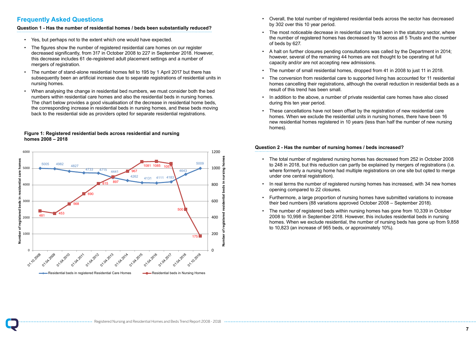#### **Question 1 - Has the number of residential homes / beds been substantially reduced?** • Yes, but perhaps not to the extent which one would have extent which one would have extent which one would h

• Overall, the total number of registered residential beds across the sector has decreased

• The most noticeable decrease in residential care has been in the statutory sector, where the number of registered homes has decreased by 18 across all 5 Trusts and the number

### **Frequently Asked Questions Question 1 - Has the number of residential homes / beds been substantially**

- by 302 over this 10 year period.
- of beds by 627.
- A halt on further closures pending consultations was called by the Department in 2014; however, several of the remaining 44 homes are not thought to be operating at full capacity and/or are not accepting new admissions.
- The number of small residential homes, dropped from 41 in 2008 to just 11 in 2018.
- result of this trend has been small.
- In addition to the above, a number of private residential care homes have also closed during this ten year period.
- These cancellations have not been offset by the registration of new residential care homes. When we exclude the residential units in nursing homes, there have been 16 homes).

• The conversion from residential care to supported living has accounted for 11 residential homes cancelling their registrations, although the overall reduction in residential beds as a

- Yes, but perhaps not to the extent which one would have expected.
- The figures show the number of registered residential care homes on our register decreased significantly, from 317 in October 2008 to 227 in September 2018. However, this decrease includes 61 de-registered adult placement settings and a number of mergers of registration.<br>
The number of stand-alone residential homes fellows for the number of the number of the number of the number o
- The number of stand-alone residential homes fell to 195 by 1 April 2017 but there has subsequently been an artificial increase due to separate registrations of residential units in <br>nursing homes nursing homes.
- When analysing the change in residential bed numbers, we must consider both the bed when analysing the shange in residential bed numbers, we must consider both the bed numbers within residential care homes and also the residential beds in nursing homes. The chart below provides a good visualisation of the decrease in residential home beds, the corresponding increase in residential beds in nursing homes, and these beds moving back to the residential side as providers opted for separate residential registrations. • When analysing the change in residential bed numbers, we must consider

new residential homes registered in 10 years (less than half the number of new nursing

### **Question 2 - Has the number of nursing homes / beds increased?**

to 248 in 2018, but this reduction can partly be explained by mergers of registrations (i.e. where formerly a nursing home had multiple registrations on one site but opted to merge

### **Figure 1: Registered residential beds across residential and nursing Figure 1: Registered residential beds across residential and nursing homes homes 2008 – 2018 2008 – 2018**

- The total number of registered nursing homes has decreased from 252 in October 2008 under one central registration).
- In real terms the number of registered nursing homes has increased, with 34 new homes opening compared to 22 closures.
- Furthermore, a large proportion of nursing homes have submitted variations to increase their bed numbers (88 variations approved October 2008 – September 2018).
- The number of registered beds within nursing homes has gone from 10,339 in October 2008 to 10,998 in September 2018. However, this includes residential beds in nursing to 10,823 (an increase of 965 beds, or approximately 10%).

homes. When we exclude residential, the number of nursing beds has gone up from 9,858

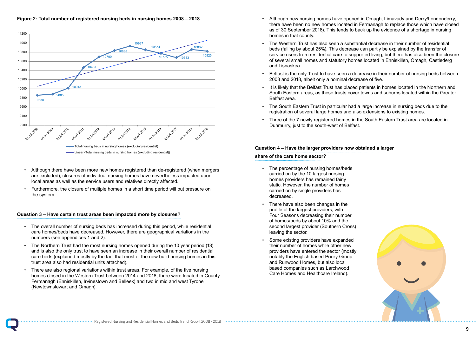

- The overall number of nursing beds has increased during this period, while The overall number of nursing beds has increased during this period, while residential care homes/beds have decreased. However, there are geographical variations in the numbers (see appendices 1 and 2).
- The Northern Trust had the most nursing homes opened during the 10 year The Northern Trust had the most nursing homes opened during the 10 year period (13) and is also the only trust to have seen an increase in their overall number of residential care beds (explained mostly by the fact that most of the new build nursing homes in this trust area also had residential units attached).
- There are also regional variations within trust areas. For example, of the five There are also regional variations within trust areas. For example, of the five nursing homes closed in the Western Trust between 2014 and 2018, three were located in County Fermanagh (Enniskillen, Irvinestown and Belleek) and two in mid and west Tyrone (Newtownstewart and Omagh).
- Although there have been more new homes registered than de-registered Although there have been more new homes registered than de-registered (when mergers  $(3.000000)$ , closures of individual nursing homes have hever there in pacture. local areas as well as the service users and relatives directly affected. are excluded), closures of individual nursing homes have nevertheless impacted upon
- Furthermore, the closure of multiple homes in a short time period will put pressure on  $\mathcal{F}_{\mathcal{F}}$  furthermore, the closure of multiple homes in a short time period will put  $\mathcal{F}_{\mathcal{F}}$  function  $\mathcal{F}_{\mathcal{F}}$  function  $\mathcal{F}_{\mathcal{F}}$  function  $\mathcal{F}_{\mathcal{F}}$  function  $\mathcal{F}_{\mathcal{F}}$  function  $\mathcal{F}_{\mathcal{$ the system.

### **Question 3 – Have certain trust areas been impacted more by closures? Question 3 – Have certain trust areas been impacted more by closures?**



• Although new nursing homes have opened in Omagh, Limavady and Derry/Londonderry, there have been no new homes located in Fermanagh to replace those which have closed as of 30 September 2018). This tends to back up the evidence of a shortage in nursing

service users from residential care to supported living, but there has also been the closure of several small homes and statutory homes located in Enniskillen, Omagh, Castlederg

• Belfast is the only Trust to have seen a decrease in their number of nursing beds between

- homes in that county.
- The Western Trust has also seen a substantial decrease in their number of residential beds (falling by about 25%). This decrease can partly be explained by the transfer of and Lisnaskea.
- 2008 and 2018, albeit only a nominal decrease of five.
- It is likely that the Belfast Trust has placed patients in homes located in the Northern and Belfast area.
- The South Eastern Trust in particular had a large increase in nursing beds due to the registration of several large homes and also extensions to existing homes.
- Three of the 7 newly registered homes in the South Eastern Trust area are located in Dunmurry, just to the south-west of Belfast.

South Eastern areas, as these trusts cover towns and suburbs located within the Greater



#### **Question 4 – Have the larger providers now obtained a larger**

#### **share of the care home sector?**

- The percentage of nursing homes/beds carried on by the 10 largest nursing homes providers has remained fairly static. However, the number of homes carried on by single providers has decreased.
- There have also been changes in the profile of the largest providers, with Four Seasons decreasing their number of homes/beds by about 10% and the second largest provider (Southern Cross) leaving the sector.
- Some existing providers have expanded their number of homes while other new providers have entered the sector (mostly notably the English based Priory Group and Runwood Homes, but also local based companies such as Larchwood Care Homes and Healthcare Ireland).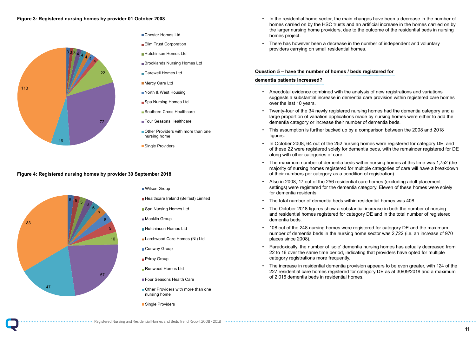#### **Figure 4: Registered nursing homes by provider 30 September 2018**

• In the residential home sector, the main changes have been a decrease in the number of homes carried on by the HSC trusts and an artificial increase in the homes carried on by the larger nursing home providers, due to the outcome of the residential beds in nursing

- homes project.
- There has however been a decrease in the number of independent and voluntary providers carrying on small residential homes.

### **Question 5 – have the number of homes / beds registered for dementia patients increased?**

• In October 2008, 64 out of the 252 nursing homes were registered for category DE, and of these 22 were registered solely for dementia beds, with the remainder registered for DE

suggests a substantial increase in dementia care provision within registered care homes

large proportion of variation applications made by nursing homes were either to add the

• The maximum number of dementia beds within nursing homes at this time was 1,752 (the majority of nursing homes registered for multiple categories of care will have a breakdown

- Anecdotal evidence combined with the analysis of new registrations and variations over the last 10 years.
- Twenty-four of the 34 newly registered nursing homes had the dementia category and a dementia category or increase their number of dementia beds.
- This assumption is further backed up by a comparison between the 2008 and 2018 figures.
- along with other categories of care.
- of their numbers per category as a condition of registration).
- Also in 2008, 17 out of the 256 residential care homes (excluding adult placement for dementia residents.
- The total number of dementia beds within residential homes was 408.
- dementia beds.
- places since 2008).
- 22 to 16 over the same time period, indicating that providers have opted for multiple category registrations more frequently.
- of 2,016 dementia beds in residential homes.

settings) were registered for the dementia category. Eleven of these homes were solely

• The October 2018 figures show a substantial increase in both the number of nursing and residential homes registered for category DE and in the total number of registered

• 108 out of the 248 nursing homes were registered for category DE and the maximum number of dementia beds in the nursing home sector was 2,722 (i.e. an increase of 970

• Paradoxically, the number of 'sole' dementia nursing homes has actually decreased from

• The increase in residential dementia provision appears to be even greater, with 124 of the 227 residential care homes registered for category DE as at 30/09/2018 and a maximum



- Wilson Group
- **Healthcare Ireland (Belfast) Limited**
- Healthcare Ireland (Belfast) Limited ■ Spa Nursing Homes Ltd
- Macklin Group
- **Hutchinson Homes Ltd**
- Larchwood Care Homes (NI) Ltd
- Conway Group
- **Priroy Group**
- Runwood Homes Ltd
- **Four Seasons Health Care**
- nursing home Other Providers with more than one
- Single Providers

### Figure 3: Registered nursing homes by provider 01 October 2008



#### Chester Homes Ltd

- **Elim Trust Corporation**
- ■Hutchinson Homes Ltd
- **Brooklands Nursing Homes Ltd**
- Carewell Homes Ltd
- **Mercy Care Ltd**
- North & West Housing
- Spa Nursing Homes Ltd
- Southern Cross Healthcare
- Four Seasons Healthcare ⊦our Seasons
- Other Providers with more than one nursing home
- Single Providers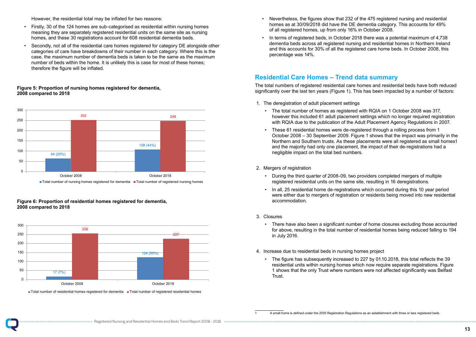However, the residential total may be inflated for two reasons: site as nursing homes, and the 30 registrations account for 608 residents.

- Firstly, 30 of the 124 homes are sub-categorised as residential within nursing homes many, 50 or the 124 nomes are sub-categorised as residential within nursing nomes<br>meaning they are separately registered residential units on the same site as nursing homes, and these 30 registrations account for 608 residential dementia beds.
	- Secondly, not all of the residential care homes registered for category DE alongside other categories of care have breakdowns of their number in each category. Where this is the case, the maximum number of dementia beds is taken to be the same as the maximum be the same as the maximum number of domential body to taken to be the same as the maximum number of beds within the home. It is unlikely this is case for most of these homes; therefore the figure will be inflated. maniper or beas within the none. It is animely this is case for most or these homes<br>therefore the figure will be inflated

#### **Figure 6: Proportion of residential homes registered for dementia, 2008 compared to 2018**

however this included 61 adult placement settings which no longer required registration with RQIA due to the publication of the Adult Placement Agency Regulations in 2007.

- Nevertheless, the figures show that 232 of the 475 registered nursing and residential homes as at 30/09/2018 did have the DE dementia category. This accounts for 49% of all registered homes, up from only 16% in October 2008.
- In terms of registered beds, in October 2018 there was a potential maximum of 4,738 dementia beds across all registered nursing and residential homes in Northern Ireland and this accounts for 30% of all the registered care home beds. In October 2008, this percentage was 14%.

### **Residential Care Homes – Trend data summary**

The total numbers of registered residential care homes and residential beds have both reduced significantly over the last ten years (Figure 1). This has been impacted by a number of factors:

- 1. The deregistration of adult placement settings
	- The total number of homes as registered with RQIA on 1 October 2008 was 317,
	- These 61 residential homes were de-registered through a rolling process from 1 and the majority had only one placement, the impact of their de-registrations had a negligible impact on the total bed numbers.

October 2008 – 30 September 2009. Figure 1 shows that the impact was primarily in the Northern and Southern trusts. As these placements were all registered as small homes1

#### 2. Mergers of registration

were either due to mergers of registration or residents being moved into new residential

### Figure 5: Proportion of nursing homes registered for dementia, **2008 compared to 2018 to 2018 to 2018**

- During the third quarter of 2008-09, two providers completed mergers of multiple registered residential units on the same site, resulting in 16 deregistrations.
- In all, 25 residential home de-registrations which occurred during this 10 year period accommodation.
- 3. Closures
	- in July 2016.
- 4. Increase due to residential beds in nursing homes project
	- The figure has subsequently increased to 227 by 01.10.2018, this total reflects the 39 Trust.

• There have also been a significant number of home closures excluding those accounted for above, resulting in the total number of residential homes being reduced falling to 194

residential units within nursing homes which now require separate registrations. Figure 1 shows that the only Trust where numbers were not affected significantly was Belfast





Total number of residential homes registered for dementia Total number of registered residential homes Total number of residential homes registered for dementia Total number of registered residential homes

<sup>1</sup> A small home is defined under the 2005 Registration Regulations as an establishment with three or less registered beds.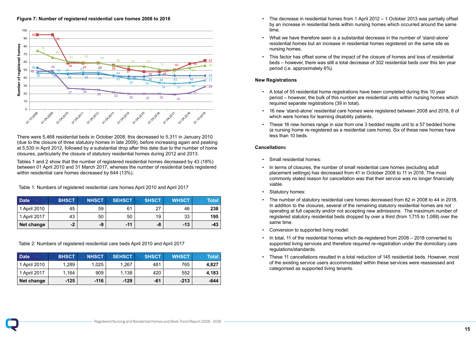There were 5,468 residential beds in October 2008, this decreased to 5,311 in January 2010 (due to the closure of three statutory homes in late 2009), before increasing again and peaking at 5,530 in April 2012, followed by a substantial drop after this date due to the number of home closures, particularly the closure of statutory residential homes during 2012 and 2013.

Tables 1 and 2 show that the number of registered residential homes decreased by 43 (18%) between 01 April 2010 and 31 March 2017, whereas the number of residential beds registered within residential care homes decreased by 644 (13%).

Table 1: Numbers of registered residential care homes April 2010 and April 2017  $\overline{4}$  (N) between  $\overline{3}$  (i.e. interesting and 31 March 2010 and 31 March 2017, whereas the number of  $\overline{2}$ residential beds of registered residential care homes dent zo roland april zo ri • The decrease in residential homes from 1 April 2012 – 1 October 2013 was partially offset by an increase in residential beds within nursing homes which occurred around the same

- time.
- What we have therefore seen is a substantial decrease in the number of 'stand-alone' residential homes but an increase in residential homes registered on the same site as nursing homes.
- This factor has offset some of the impact of the closure of homes and loss of residential period (i.e. approximately 6%).

beds – however, there was still a total decrease of 302 residential beds over this ten year

### **New Registrations**

**Figure 7: Number of registered residential care homes 2008 to 2018 Figure 7: Number of registered residential care homes 2008 to 2018**

period – however, the bulk of this number are residential units within nursing homes which

• 16 new 'stand-alone' residential care homes were registered between 2008 and 2018, 8 of

- A total of 55 residential home registrations have been completed during this 10 year required separate registrations (39 in total).
- which were homes for learning disability patients.
- less than 10 beds.

• These 16 new homes range in size from one 3 bedded respite unit to a 57 bedded home (a nursing home re-registered as a residential care home). Six of these new homes have

### **Cancellation**s

| <b>Date</b>  | <b>BHSCT</b> | <b>NHSCT</b> | <b>SEHSCT</b> | <b>SHSCT</b> | <b>WHSCT</b> | Total |
|--------------|--------------|--------------|---------------|--------------|--------------|-------|
| 1 April 2010 | 45           | 59           | 61            | 27           | 46           | 238   |
| 1 April 2017 | 43           | 50           | 50            | 19           | 33           | 195   |
| Net change   | -2           | -9           | $-11$         | -8           | $-13$        | -43   |

commonly stated reason for cancellation was that their service was no longer financially

Table 2: Numbers of registered residential care beds April 2010 and April 2017 Table 2: Numbers of registered residential care beds April 2010 and April 2017

| <b>Date</b>  | <b>BHSCT</b> | <b>NHSCT</b> | <b>SEHSCT</b> | <b>SHSCT</b> | <b>WHSCT</b> | Total  |
|--------------|--------------|--------------|---------------|--------------|--------------|--------|
| 1 April 2010 | 1,289        | 1,025        | 1,267         | 481          | 765          | 4,827  |
| 1 April 2017 | 1,164        | 909          | 1,138         | 420          | 552          | 4,183  |
| Net change   | $-125$       | $-116$       | $-129$        | $-61$        | $-213$       | $-644$ |

• The number of statutory residential care homes decreased from 62 in 2008 to 44 in 2018. In addition to the closures, several of the remaining statutory residential homes are not operating at full capacity and/or not accepting new admissions. The maximum number of registered statutory residential beds dropped by over a third (from 1,715 to 1,088) over the

- Small residential homes:
- In terms of closures, the number of small residential care homes (excluding adult placement settings) has decreased from 41 in October 2008 to 11 in 2018. The most viable.
- Statutory homes:
- same time.
- Conversion to supported living model:
- regulations/standards.
- categorised as supported living tenants.

• In total, 11 of the residential homes which de-registered from 2008 – 2018 converted to supported living services and therefore required re-registration under the domiciliary care

• These 11 cancellations resulted in a total reduction of 145 residential beds. However, most of the existing service users accommodated within these services were reassessed and

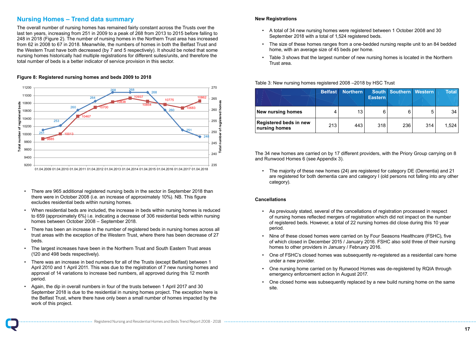- There are 965 additional registered nursing beds in the sector in September 2018 than There are 965 additional registered nursing beds in the sector in September there were in October 2008 (i.e. an increase of approximately 10%). NB. This figure excludes residential beds within nursing homes.
- When residential beds are included, the increase in beds within nursing homes is reduced When residential beds are included, the increase in beds within nursing to 659 (approximately 6%) i.e. indicating a decrease of 306 residential beds within nursing homes between October 2008 – September 2018.
- There has been an increase in the number of registered beds in nursing homes across all trust areas with the exception of the Western Trust, where there has been decrease of 27 beds. homes across all trust areas with the exception of the exception of the  $W$
- The largest increases have been in the Northern Trust and South Eastern Trust areas (120 and 498 beds respectively).
- There was an increase in bed numbers for all of the Trusts (except Belfast) between 1 April 2010 and 1 April 2011. This was due to the registration of 7 new nursing homes and approval of 14 variations to increase bed numbers, all approved during this 12 month period.
- Again, the dip in overall numbers in four of the trusts between 1 April 2017 and 30 September 2018 is due to the residential in nursing homes project. The exception here is the Belfast Trust, where there have only been a small number of homes impacted by the 16 work of this project.

#### **New Registrations**

### **Nursing Homes – Trend data summary website of number of number of number of number of number of number of number o**

The overall number of nursing homes has remained fairly constant across the Trusts over the last ten years, increasing from 251 in 2009 to a peak of 268 from 2013 to 2015 before falling to 248 in 2018 (Figure 2). The number of nursing homes in the Northern Trust area has increased from 62 in 2008 to 67 in 2018. Meanwhile, the numbers of homes in both the Belfast Trust and the Western Trust have both decreased (by 7 and 5 respectively). It should be noted that some nursing homes in nursing homes historically had multiple registrations for different suites/units, and therefore the harding homes motohodily had malippe registrations for different suites/units, and therefore<br>total number of beds is a better indicator of service provision in this sector. number of beds is a better indicator of service provision in this sector.

- A total of 34 new nursing homes were registered between 1 October 2008 and 30 September 2018 with a total of 1,524 registered beds.
- The size of these homes ranges from a one-bedded nursing respite unit to an 84 bedded home, with an average size of 45 beds per home.
- Table 3 shows that the largest number of new nursing homes is located in the Northern Trust area.

Table 3: New nursing homes registered 2008 –2018 by HSC Trust

|                                                | <b>Belfast</b> | <b>Northern</b> | <b>Eastern</b> | South Southern Western |     | <b>Total</b> |
|------------------------------------------------|----------------|-----------------|----------------|------------------------|-----|--------------|
| <b>New nursing homes</b>                       |                | 13              | 6              | 6                      | 5   | 34           |
| <b>Registered beds in new</b><br>nursing homes | 213            | 443             | 318            | 236                    | 314 | 1,524        |

### **Figure 8: Registered nursing homes and beds 2009 to 2018 Figure 8: Registered nursing homes and beds 2009 to 2018**

The 34 new homes are carried on by 17 different providers, with the Priory Group carrying on 8 and Runwood Homes 6 (see Appendix 3).

• The majority of these new homes (24) are registered for category DE (Dementia) and 21 are registered for both dementia care and category I (old persons not falling into any other category).

### **Cancellations**

- As previously stated, several of the cancellations of registration processed in respect of nursing homes reflected mergers of registration which did not impact on the number of registered beds. However, a total of 22 nursing homes did close during this 10 year period.
- Nine of these closed homes were carried on by Four Seasons Healthcare (FSHC), five of which closed in December 2015 / January 2016. FSHC also sold three of their nursing homes to other providers in January / February 2016.
- One of FSHC's closed homes was subsequently re-registered as a residential care home under a new provider.
- One nursing home carried on by Runwood Homes was de-registered by RQIA through emergency enforcement action in August 2017.
- One closed home was subsequently replaced by a new build nursing home on the same site.

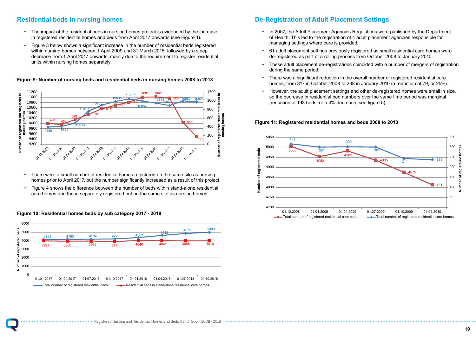# Residential beds in nursing homes project is evidential beds in nursing homes project is evidenced by a set of th

- The impact of the residential beds in nursing homes project is evidenced by the increase In registered residential homes and beds from April 2017 onwards (see Figure 1).
- Figure 3 below shows a significant increase in the number of residential beds registered register the contribution of the contribution of the matter with contribution of the contribution of the within nursing homes between 1 April 2009 and 31 March 2015, followed by a steep decrease from 1 April 2017 onwards, mainly due to the requirement to register residential units within nursing homes separately. The register residential units within nursing homes separately.

- There were a small number of residential homes registered on the same site as nursing homes prior to April 2017, but the number significantly increased as a result of this project.
- Figure 4 shows the difference between the number of beds within stand-alone residential care homes and those separately registered but on the same site as nursing homes.

## Figure 10: Residential homes beds by sub category 2017 - 2018

### **De-Registration of Adult Placement Settings**

• In 2007, the Adult Placement Agencies Regulations were published by the Department

• 61 adult placement settings previously registered as small residential care homes were

• These adult placement de-registrations coincided with a number of mergers of registration

- of Health. This led to the registration of 4 adult placement agencies responsible for managing settings where care is provided.
- de-registered as part of a rolling process from October 2008 to January 2010.
- during the same period.
- There was a significant reduction in the overall number of registered residential care homes, from 317 in October 2008 to 238 in January 2010 (a reduction of 79, or 25%).
- However, the adult placement settings and other de-registered homes were small in size, so the decrease in residential bed numbers over the same time period was marginal (reduction of 193 beds, or a 4% decrease, see figure 5).

### **Figure 9: Number of nursing beds and residential beds in nursing homes 2008 to 2018 to 2018**

### **Figure 11: Registered residential homes and beds 2008 to 2010**





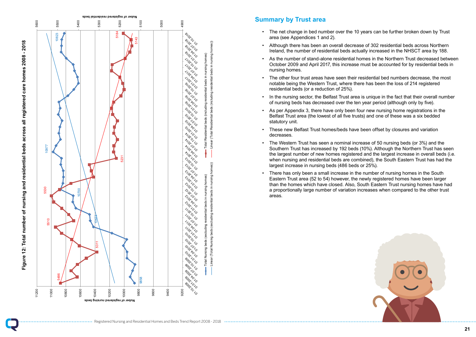

### **Summary by Trust area**

- The net change in bed number over the 10 years can be further broken down by Trust area (see Appendices 1 and 2).
- Although there has been an overall decrease of 302 residential beds across Northern Ireland, the number of residential beds actually increased in the NHSCT area by 188.
- As the number of stand-alone residential homes in the Northern Trust decreased between October 2009 and April 2017, this increase must be accounted for by residential beds in nursing homes.
- The other four trust areas have seen their residential bed numbers decrease, the most notable being the Western Trust, where there has been the loss of 214 registered residential beds (or a reduction of 25%).
- In the nursing sector, the Belfast Trust area is unique in the fact that their overall number of nursing beds has decreased over the ten year period (although only by five).
- As per Appendix 3, there have only been four new nursing home registrations in the Belfast Trust area (the lowest of all five trusts) and one of these was a six bedded statutory unit.
- These new Belfast Trust homes/beds have been offset by closures and variation decreases.
- The Western Trust has seen a nominal increase of 50 nursing beds (or 3%) and the Southern Trust has increased by 192 beds (10%). Although the Northern Trust has seen the largest number of new homes registered and the largest increase in overall beds (i.e. when nursing and residential beds are combined), the South Eastern Trust has had the largest increase in nursing beds (486 beds or 25%).
- There has only been a small increase in the number of nursing homes in the South Eastern Trust area (52 to 54) however, the newly registered homes have been larger than the homes which have closed. Also, South Eastern Trust nursing homes have had a proportionally large number of variation increases when compared to the other trust areas.

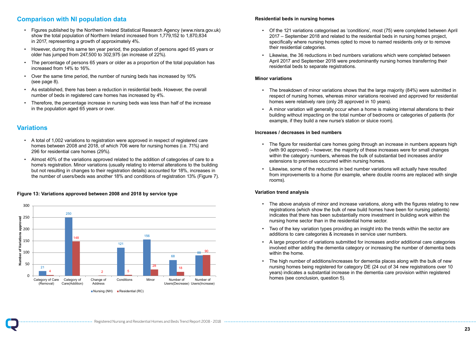### **Comparison with NI population data**

- A total of 1,002 variations to registration were approved in respect of registered care A total of 1,002 variations to registration were approved in respect of registered care<br>homes between 2008 and 2018, of which 706 were for nursing homes (i.e. 71%) and nomes between 2000 and 2010, or milen 100 mercies. Harding its<br>296 for residential care homes (29%).  $\overline{a}$  total of 1,002 variations to registrations to registrations to registration were approximately in respect of  $\overline{a}$
- Almost 40% of the variations approved related to the addition of categories of care to a Almost 40% of the variations approved related to the addition of categories of ranced to be charged approved to account the security of caregotics of care to a home's registration. Minor variations (usually relating to internal alterations to the building but not resulting in changes to their registration details) accounted for 18%, increases in the number of users/beds was another 18% and conditions of registration 13% (Figure 7).
- Figures published by the Northern Ireland Statistical Research Agency (www.nisra.gov.uk) show the total population of Northern Ireland increased from 1,779,152 to 1,870,834 in 2017, representing a growth of approximately 4%.
- However, during this same ten year period, the population of persons aged 65 years or older has jumped from 247,500 to 302,975 (an increase of 22%).
- The percentage of persons 65 years or older as a proportion of the total population has increased from 14% to 16%.
- Over the same time period, the number of nursing beds has increased by 10% (see page 8).
- As established, there has been a reduction in residential beds. However, the overall number of beds in registered care homes has increased by 4%.
- Therefore, the percentage increase in nursing beds was less than half of the increase in the population aged 65 years or over.

### **Residential beds in nursing homes**

• Of the 121 variations categorised as 'conditions', most (75) were completed between April specifically where nursing homes opted to move to named residents only or to remove

- 2017 September 2018 and related to the residential beds in nursing homes project, their residential categories.
- Likewise, the 36 reductions in bed numbers variations which were completed between April 2017 and September 2018 were predominantly nursing homes transferring their residential beds to separate registrations.

### **Minor variations**

• The breakdown of minor variations shows that the large majority (84%) were submitted in respect of nursing homes, whereas minor variations received and approved for residential

- homes were relatively rare (only 28 approved in 10 years).
- A minor variation will generally occur when a home is making internal alterations to their example, if they build a new nurse's station or sluice room).

building without impacting on the total number of bedrooms or categories of patients (for

# **Variations Variations**

### **Increases / decreases in bed numbers**

• The figure for residential care homes going through an increase in numbers appears high

- (with 90 approved) however, the majority of these increases were for small changes within the category numbers, whereas the bulk of substantial bed increases and/or extensions to premises occurred within nursing homes.
- Likewise, some of the reductions in bed number variations will actually have resulted rooms).

from improvements to a home (for example, where double rooms are replaced with single

### **Variation trend analysis**

### **Figure 13: Variations approved between 2008 and 2018 by service type Figure 13: Variations approved between 2008 and 2018 by service type**

• The above analysis of minor and increase variations, along with the figures relating to new

- registrations (which show the bulk of new build homes have been for nursing patients) indicates that there has been substantially more investment in building work within the nursing home sector than in the residential home sector.
- Two of the key variation types providing an insight into the trends within the sector are additions to care categories & increases in service user numbers.
- A large proportion of variations submitted for increases and/or additional care categories within the home.
- The high number of additions/increases for dementia places along with the bulk of new years) indicates a substantial increase in the dementia care provision within registered homes (see conclusion, question 5).

involved either adding the dementia category or increasing the number of dementia beds

nursing homes being registered for category DE (24 out of 34 new registrations over 10

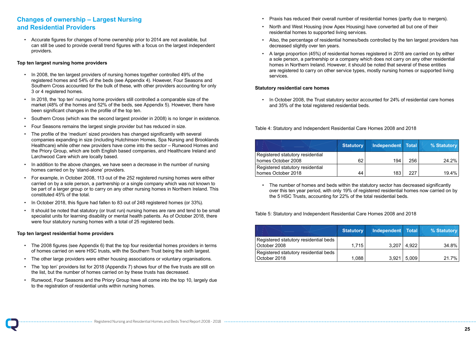### **Changes of ownership – Largest Nursing and Residential Providers**

• Accurate figures for changes of home ownership prior to 2014 are not available, but can still be used to provide overall trend figures with a focus on the largest independent providers.

### **Top ten largest nursing home providers**

- In 2008, the ten largest providers of nursing homes together controlled 49% of the registered homes and 54% of the beds (see Appendix 4). However, Four Seasons and Southern Cross accounted for the bulk of these, with other providers accounting for only 3 or 4 registered homes.
- In 2018, the 'top ten' nursing home providers still controlled a comparable size of the market (48% of the homes and 52% of the beds, see Appendix 5). However, there have been significant changes in the profile of the top ten.
- Southern Cross (which was the second largest provider in 2008) is no longer in existence.
- Four Seasons remains the largest single provider but has reduced in size.
- The profile of the 'medium' sized providers has changed significantly with several companies expanding in size (including Hutchinson Homes, Spa Nursing and Brooklands Healthcare) while other new providers have come into the sector – Runwood Homes and the Priory Group, which are both English based companies, and Healthcare Ireland and Larchwood Care which are locally based.
- In addition to the above changes, we have seen a decrease in the number of nursing homes carried on by 'stand-alone' providers.
- For example, in October 2008, 113 out of the 252 registered nursing homes were either carried on by a sole person, a partnership or a single company which was not known to be part of a larger group or to carry on any other nursing homes in Northern Ireland. This constituted 45% of the total.
- In October 2018, this figure had fallen to 83 out of 248 registered homes (or 33%).
- It should be noted that statutory (or trust run) nursing homes are rare and tend to be small specialist units for learning disability or mental health patients. As of October 2018, there were four statutory nursing homes with a total of 25 registered beds.

### **Top ten largest residential home providers**

- The 2008 figures (see Appendix 6) that the top four residential homes providers in terms of homes carried on were HSC trusts, with the Southern Trust being the sixth largest.
- The other large providers were either housing associations or voluntary organisations.
- The 'top ten' providers list for 2018 (Appendix 7) shows four of the five trusts are still on the list, but the number of homes carried on by these trusts has decreased.
- Runwood, Four Seasons and the Priory Group have all come into the top 10, largely due to the registration of residential units within nursing homes.

• Also, the percentage of residential homes/beds controlled by the ten largest providers has

- Praxis has reduced their overall number of residential homes (partly due to mergers).
- North and West Housing (now Apex Housing) have converted all but one of their residential homes to supported living services.
- decreased slightly over ten years.
- A large proportion (45%) of residential homes registered in 2018 are carried on by either homes in Northern Ireland. However, it should be noted that several of these entities services.

a sole person, a partnership or a company which does not carry on any other residential are registered to carry on other service types, mostly nursing homes or supported living

### **Statutory residential care homes**

• In October 2008, the Trust statutory sector accounted for 24% of residential care homes and 35% of the total registered residential beds.

### Table 4: Statutory and Independent Residential Care Homes 2008 and 2018

|                                                        | <b>Statutory</b> | Independent Total |     | % Statutory |
|--------------------------------------------------------|------------------|-------------------|-----|-------------|
| Registered statutory residential<br>homes October 2008 | 62               | 194               | 256 | 24.2%       |
| Registered statutory residential<br>homes October 2018 | 44               | 183               | 227 | 19.4%       |

• The number of homes and beds within the statutory sector has decreased significantly the 5 HSC Trusts, accounting for 22% of the total residential beds.

over this ten year period, with only 19% of registered residential homes now carried on by

Table 5: Statutory and Independent Residential Care Homes 2008 and 2018

|       |                  | % Statutory                           |
|-------|------------------|---------------------------------------|
|       |                  |                                       |
| 1,715 | 4,922            | 34.8%                                 |
|       |                  |                                       |
| 1,088 | 5,009            | 21.7%                                 |
|       | <b>Statutory</b> | Independent   Total<br>3,207<br>3,921 |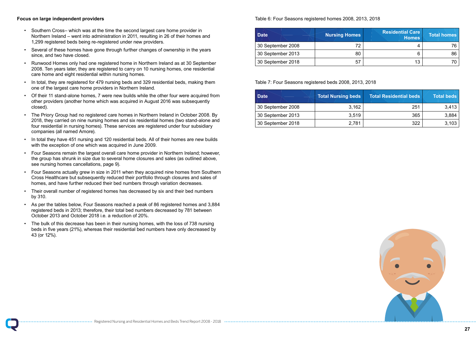

### **Focus on large independent providers**

- Southern Cross– which was at the time the second largest care home provider in Northern Ireland – went into administration in 2011, resulting in 26 of their homes and 1,299 registered beds being re-registered under new providers.
- Several of these homes have gone through further changes of ownership in the years since, and two have closed.
- Runwood Homes only had one registered home in Northern Ireland as at 30 September 2008. Ten years later, they are registered to carry on 10 nursing homes, one residential care home and eight residential within nursing homes.
- In total, they are registered for 479 nursing beds and 329 residential beds, making them one of the largest care home providers in Northern Ireland.
- Of their 11 stand-alone homes, 7 were new builds while the other four were acquired from other providers (another home which was acquired in August 2016 was subsequently closed).
- The Priory Group had no registered care homes in Northern Ireland in October 2008. By 2018, they carried on nine nursing homes and six residential homes (two stand-alone and four residential in nursing homes). These services are registered under four subsidiary companies (all named Amore).
- In total they have 451 nursing and 120 residential beds. All of their homes are new builds with the exception of one which was acquired in June 2009.
- Four Seasons remain the largest overall care home provider in Northern Ireland; however, the group has shrunk in size due to several home closures and sales (as outlined above, see nursing homes cancellations, page 9).
- Four Seasons actually grew in size in 2011 when they acquired nine homes from Southern Cross Healthcare but subsequently reduced their portfolio through closures and sales of homes, and have further reduced their bed numbers through variation decreases.
- Their overall number of registered homes has decreased by six and their bed numbers by 310.
- As per the tables below, Four Seasons reached a peak of 86 registered homes and 3,884 registered beds in 2013; therefore, their total bed numbers decreased by 781 between October 2013 and October 2018 i.e. a reduction of 20%.
- The bulk of this decrease has been in their nursing homes, with the loss of 738 nursing beds in five years (21%), whereas their residential bed numbers have only decreased by 43 (or 12%).

### Table 6: Four Seasons registered homes 2008, 2013, 2018

| <b>Date</b>       | <b>Nursing Homes</b> | <b>Residential Care</b><br>Homes | <b>Total homes</b> |
|-------------------|----------------------|----------------------------------|--------------------|
| 30 September 2008 | 72                   | 4                                | 76.                |
| 30 September 2013 | 80                   | 6                                | 86                 |
| 30 September 2018 | 57                   | 13                               |                    |

Table 7: Four Seasons registered beds 2008, 2013, 2018

| <b>Date</b>       | <b>Total Nursing beds</b> | <b>Total Residential beds</b> | <b>Total beds</b> |
|-------------------|---------------------------|-------------------------------|-------------------|
| 30 September 2008 | 3.162                     | 251                           | 3.413             |
| 30 September 2013 | 3,519                     | 365                           | 3,884             |
| 30 September 2018 | 2,781                     | 322                           | 3,103             |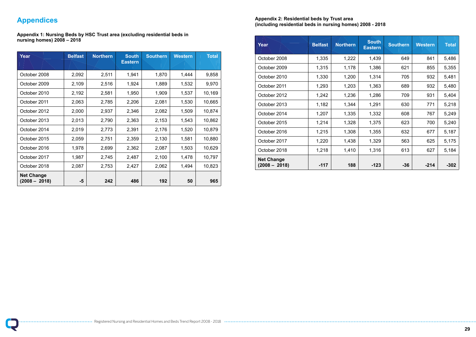

## **Appendices**

**Appendix 1: Nursing Beds by HSC Trust area (excluding residential beds in nursing homes) 2008 – 2018**

| Year                                 | <b>Belfast</b> | <b>Northern</b> | <b>South</b><br><b>Eastern</b> | <b>Southern</b> | <b>Western</b> | <b>Total</b> |
|--------------------------------------|----------------|-----------------|--------------------------------|-----------------|----------------|--------------|
| October 2008                         | 2,092          | 2,511           | 1,941                          | 1,870           | 1,444          | 9,858        |
| October 2009                         | 2,109          | 2,516           | 1,924                          | 1,889           | 1,532          | 9,970        |
| October 2010                         | 2,192          | 2,581           | 1,950                          | 1,909           | 1,537          | 10,169       |
| October 2011                         | 2,063          | 2,785           | 2,206                          | 2,081           | 1,530          | 10,665       |
| October 2012                         | 2,000          | 2,937           | 2,346                          | 2,082           | 1,509          | 10,874       |
| October 2013                         | 2,013          | 2,790           | 2,363                          | 2,153           | 1,543          | 10,862       |
| October 2014                         | 2,019          | 2,773           | 2,391                          | 2,176           | 1,520          | 10,879       |
| October 2015                         | 2,059          | 2,751           | 2,359                          | 2,130           | 1,581          | 10,880       |
| October 2016                         | 1,978          | 2,699           | 2,362                          | 2,087           | 1,503          | 10,629       |
| October 2017                         | 1,987          | 2,745           | 2,487                          | 2,100           | 1,478          | 10,797       |
| October 2018                         | 2,087          | 2,753           | 2,427                          | 2,062           | 1,494          | 10,823       |
| <b>Net Change</b><br>$(2008 - 2018)$ | $-5$           | 242             | 486                            | 192             | 50             | 965          |

### **Appendix 2: Residential beds by Trust area (including residential beds in nursing homes) 2008 - 2018**

| Year                                 | <b>Belfast</b> | <b>Northern</b> | <b>South</b><br><b>Eastern</b> | <b>Southern</b> | <b>Western</b> | <b>Total</b> |
|--------------------------------------|----------------|-----------------|--------------------------------|-----------------|----------------|--------------|
| October 2008                         | 1,335          | 1,222           | 1,439                          | 649             | 841            | 5,486        |
| October 2009                         | 1,315          | 1,178           | 1,386                          | 621             | 855            | 5,355        |
| October 2010                         | 1,330          | 1,200           | 1,314                          | 705             | 932            | 5,481        |
| October 2011                         | 1,293          | 1,203           | 1,363                          | 689             | 932            | 5,480        |
| October 2012                         | 1,242          | 1,236           | 1,286                          | 709             | 931            | 5,404        |
| October 2013                         | 1,182          | 1,344           | 1,291                          | 630             | 771            | 5,218        |
| October 2014                         | 1,207          | 1,335           | 1,332                          | 608             | 767            | 5,249        |
| October 2015                         | 1,214          | 1,328           | 1,375                          | 623             | 700            | 5,240        |
| October 2016                         | 1,215          | 1,308           | 1,355                          | 632             | 677            | 5,187        |
| October 2017                         | 1,220          | 1,438           | 1,329                          | 563             | 625            | 5,175        |
| October 2018                         | 1,218          | 1,410           | 1,316                          | 613             | 627            | 5,184        |
| <b>Net Change</b><br>$(2008 - 2018)$ | $-117$         | 188             | $-123$                         | $-36$           | $-214$         | $-302$       |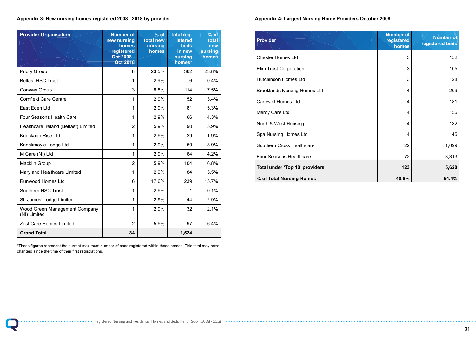### **Appendix 3: New nursing homes registered 2008 –2018 by provider**

| <b>Provider Organisation</b>                         | <b>Number of</b><br>new nursing<br>homes<br>registered<br>Oct 2008 -<br><b>Oct 2018</b> | $%$ of<br>total new<br>nursing<br>homes | <b>Total reg-</b><br><b>istered</b><br><b>beds</b><br>in new<br>nursing<br>homes* | $%$ of<br>total<br>new<br>nursing<br>homes |
|------------------------------------------------------|-----------------------------------------------------------------------------------------|-----------------------------------------|-----------------------------------------------------------------------------------|--------------------------------------------|
| <b>Priory Group</b>                                  | 8                                                                                       | 23.5%                                   | 362                                                                               | 23.8%                                      |
| <b>Belfast HSC Trust</b>                             | 1                                                                                       | 2.9%                                    | 6                                                                                 | 0.4%                                       |
| <b>Conway Group</b>                                  | 3                                                                                       | 8.8%                                    | 114                                                                               | 7.5%                                       |
| <b>Cornfield Care Centre</b>                         | 1                                                                                       | 2.9%                                    | 52                                                                                | 3.4%                                       |
| East Eden Ltd                                        | 1                                                                                       | 2.9%                                    | 81                                                                                | 5.3%                                       |
| <b>Four Seasons Health Care</b>                      | 1                                                                                       | 2.9%                                    | 66                                                                                | 4.3%                                       |
| Healthcare Ireland (Belfast) Limited                 | $\overline{2}$                                                                          | 5.9%                                    | 90                                                                                | 5.9%                                       |
| Knockagh Rise Ltd                                    | 1                                                                                       | 2.9%                                    | 29                                                                                | 1.9%                                       |
| Knockmoyle Lodge Ltd                                 | 1                                                                                       | 2.9%                                    | 59                                                                                | 3.9%                                       |
| M Care (NI) Ltd                                      | 1                                                                                       | 2.9%                                    | 64                                                                                | 4.2%                                       |
| <b>Macklin Group</b>                                 | $\overline{2}$                                                                          | 5.9%                                    | 104                                                                               | 6.8%                                       |
| <b>Maryland Healthcare Limited</b>                   | 1                                                                                       | 2.9%                                    | 84                                                                                | 5.5%                                       |
| <b>Runwood Homes Ltd</b>                             | 6                                                                                       | 17.6%                                   | 239                                                                               | 15.7%                                      |
| <b>Southern HSC Trust</b>                            | 1                                                                                       | 2.9%                                    | $\mathbf{1}$                                                                      | 0.1%                                       |
| St. James' Lodge Limited                             | 1                                                                                       | 2.9%                                    | 44                                                                                | 2.9%                                       |
| <b>Wood Green Management Company</b><br>(NI) Limited | 1                                                                                       | 2.9%                                    | 32                                                                                | 2.1%                                       |
| <b>Zest Care Homes Limited</b>                       | $\overline{2}$                                                                          | 5.9%                                    | 97                                                                                | 6.4%                                       |
| <b>Grand Total</b>                                   | 34                                                                                      |                                         | 1,524                                                                             |                                            |

\*These figures represent the current maximum number of beds registered within these homes. This total may have changed since the time of their first registrations.

**Appendix 4: Largest Nursing Home Providers October 2008**

| <b>Provider</b>                     | <b>Number of</b><br>registered<br>homes | <b>Number of</b><br>registered beds |
|-------------------------------------|-----------------------------------------|-------------------------------------|
| <b>Chester Homes Ltd</b>            | 3                                       | 152                                 |
| <b>Elim Trust Corporation</b>       | 3                                       | 105                                 |
| <b>Hutchinson Homes Ltd</b>         | 3                                       | 128                                 |
| <b>Brooklands Nursing Homes Ltd</b> | 4                                       | 209                                 |
| <b>Carewell Homes Ltd</b>           | 4                                       | 181                                 |
| Mercy Care Ltd                      | 4                                       | 156                                 |
| North & West Housing                | 4                                       | 132                                 |
| Spa Nursing Homes Ltd               | 4                                       | 145                                 |
| <b>Southern Cross Healthcare</b>    | 22                                      | 1,099                               |
| <b>Four Seasons Healthcare</b>      | 72                                      | 3,313                               |
| Total under 'Top 10' providers      | 123                                     | 5,620                               |
| % of Total Nursing Homes            | 48.8%                                   | 54.4%                               |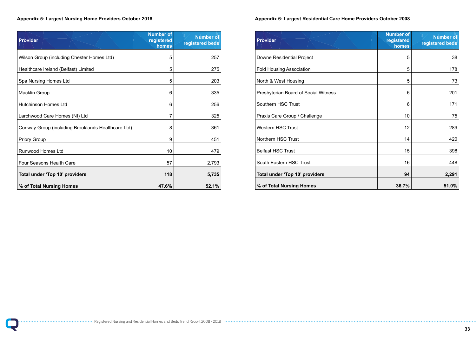### **Appendix 5: Largest Nursing Home Providers October 2018**

| <b>Provider</b>                                    | <b>Number of</b><br>registered<br>homes | <b>Number of</b><br>registered beds |
|----------------------------------------------------|-----------------------------------------|-------------------------------------|
| Wilson Group (including Chester Homes Ltd)         | 5                                       | 257                                 |
| Healthcare Ireland (Belfast) Limited               | 5                                       | 275                                 |
| Spa Nursing Homes Ltd                              | 5                                       | 203                                 |
| <b>Macklin Group</b>                               | 6                                       | 335                                 |
| <b>Hutchinson Homes Ltd</b>                        | 6                                       | 256                                 |
| Larchwood Care Homes (NI) Ltd                      | 7                                       | 325                                 |
| Conway Group (including Brooklands Healthcare Ltd) | 8                                       | 361                                 |
| <b>Priory Group</b>                                | 9                                       | 451                                 |
| <b>Runwood Homes Ltd</b>                           | 10                                      | 479                                 |
| <b>Four Seasons Health Care</b>                    | 57                                      | 2,793                               |
| Total under 'Top 10' providers                     | 118                                     | 5,735                               |
| % of Total Nursing Homes                           | 47.6%                                   | 52.1%                               |

### **Appendix 6: Largest Residential Care Home Providers October 2008**

| <b>Provider</b>                      | <b>Number of</b><br>registered<br>homes | <b>Number of</b><br>registered beds |
|--------------------------------------|-----------------------------------------|-------------------------------------|
| Downe Residential Project            | 5                                       | 38                                  |
| <b>Fold Housing Association</b>      | 5                                       | 178                                 |
| North & West Housing                 | 5                                       | 73                                  |
| Presbyterian Board of Social Witness | 6                                       | 201                                 |
| <b>Southern HSC Trust</b>            | 6                                       | 171                                 |
| Praxis Care Group / Challenge        | 10                                      | 75                                  |
| <b>Western HSC Trust</b>             | 12                                      | 289                                 |
| <b>Northern HSC Trust</b>            | 14                                      | 420                                 |
| <b>Belfast HSC Trust</b>             | 15                                      | 398                                 |
| South Eastern HSC Trust              | 16                                      | 448                                 |
| Total under 'Top 10' providers       | 94                                      | 2,291                               |
| % of Total Nursing Homes             | 36.7%                                   | 51.0%                               |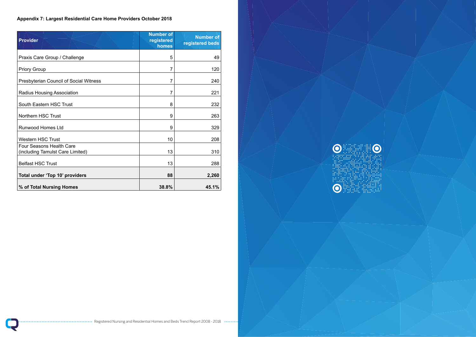

**TEN** 

 $\bullet$   $\bullet$ 

### **Appendix 7: Largest Residential Care Home Providers October 2018**

| <b>Provider</b>                                                     | <b>Number of</b><br>registered<br>homes | <b>Number of</b><br>registered beds |
|---------------------------------------------------------------------|-----------------------------------------|-------------------------------------|
| Praxis Care Group / Challenge                                       | 5                                       | 49                                  |
| <b>Priory Group</b>                                                 | 7                                       | 120                                 |
| <b>Presbyterian Council of Social Witness</b>                       | $\overline{7}$                          | 240                                 |
| <b>Radius Housing Association</b>                                   | 7                                       | 221                                 |
| South Eastern HSC Trust                                             | 8                                       | 232                                 |
| <b>Northern HSC Trust</b>                                           | 9                                       | 263                                 |
| <b>Runwood Homes Ltd</b>                                            | 9                                       | 329                                 |
| <b>Western HSC Trust</b>                                            | 10                                      | 208                                 |
| <b>Four Seasons Health Care</b><br>(including Tamulst Care Limited) | 13                                      | 310                                 |
| <b>Belfast HSC Trust</b>                                            | 13                                      | 288                                 |
| Total under 'Top 10' providers                                      | 88                                      | 2,260                               |
| % of Total Nursing Homes                                            | 38.8%                                   | 45.1%                               |

 $\ddot{\bullet}$